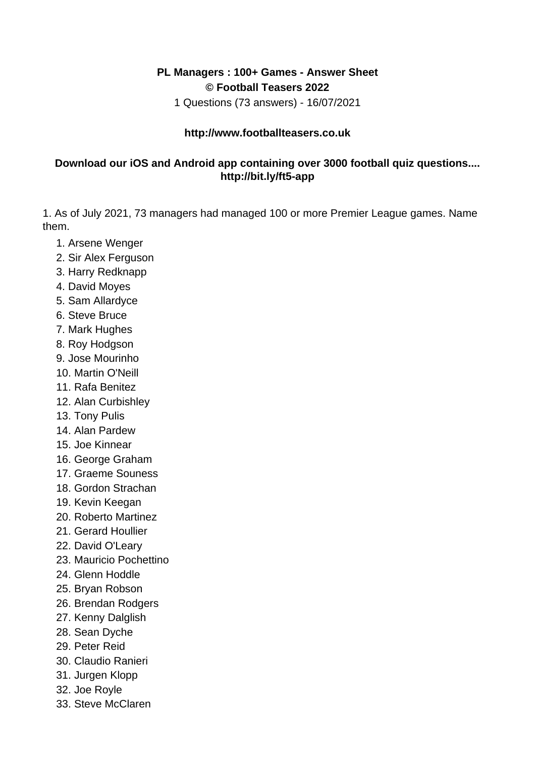## **PL Managers : 100+ Games - Answer Sheet © Football Teasers 2022**

1 Questions (73 answers) - 16/07/2021

## **http://www.footballteasers.co.uk**

## **Download our iOS and Android app containing over 3000 football quiz questions.... http://bit.ly/ft5-app**

1. As of July 2021, 73 managers had managed 100 or more Premier League games. Name them.

- 1. Arsene Wenger
- 2. Sir Alex Ferguson
- 3. Harry Redknapp
- 4. David Moyes
- 5. Sam Allardyce
- 6. Steve Bruce
- 7. Mark Hughes
- 8. Roy Hodgson
- 9. Jose Mourinho
- 10. Martin O'Neill
- 11. Rafa Benitez
- 12. Alan Curbishley
- 13. Tony Pulis
- 14. Alan Pardew
- 15. Joe Kinnear
- 16. George Graham
- 17. Graeme Souness
- 18. Gordon Strachan
- 19. Kevin Keegan
- 20. Roberto Martinez
- 21. Gerard Houllier
- 22. David O'Leary
- 23. Mauricio Pochettino
- 24. Glenn Hoddle
- 25. Bryan Robson
- 26. Brendan Rodgers
- 27. Kenny Dalglish
- 28. Sean Dyche
- 29. Peter Reid
- 30. Claudio Ranieri
- 31. Jurgen Klopp
- 32. Joe Royle
- 33. Steve McClaren